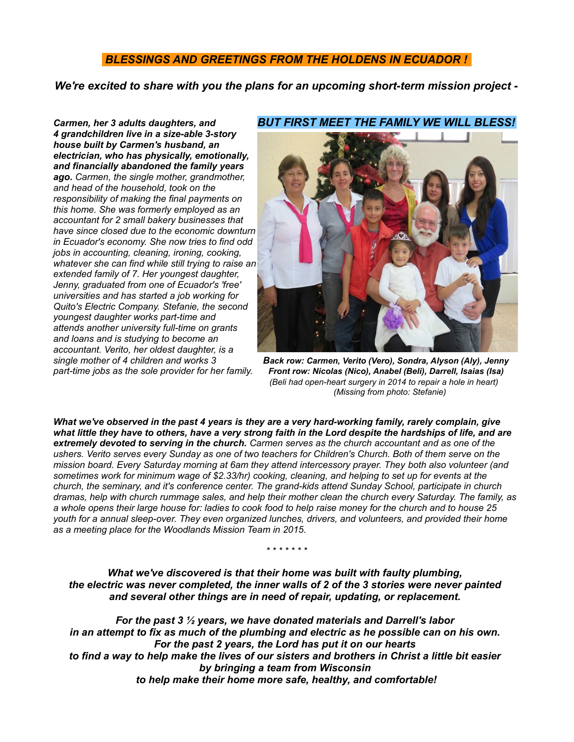# *BLESSINGS AND GREETINGS FROM THE HOLDENS IN ECUADOR !*

*We're excited to share with you the plans for an upcoming short-term mission project -*

*4 grandchildren live in a size-able 3-story house built by Carmen's husband, an electrician, who has physically, emotionally, and financially abandoned the family years ago. Carmen, the single mother, grandmother, and head of the household, took on the responsibility of making the final payments on this home. She was formerly employed as an accountant for 2 small bakery businesses that have since closed due to the economic downturn in Ecuador's economy. She now tries to find odd jobs in accounting, cleaning, ironing, cooking, whatever she can find while still trying to raise an extended family of 7. Her youngest daughter, Jenny, graduated from one of Ecuador's 'free' universities and has started a job working for Quito's Electric Company. Stefanie, the second youngest daughter works part-time and attends another university full-time on grants and loans and is studying to become an accountant. Verito, her oldest daughter, is a* 

### *Carmen, her 3 adults daughters, and BUT FIRST MEET THE FAMILY WE WILL BLESS!*



*single mother of 4 children and works 3 Back row: Carmen, Verito (Vero), Sondra, Alyson (Aly), Jenny part-time jobs as the sole provider for her family. Front row: Nicolas (Nico), Anabel (Beli), Darrell, Isaias (Isa) (Beli had open-heart surgery in 2014 to repair a hole in heart) (Missing from photo: Stefanie)*

*What we've observed in the past 4 years is they are a very hard-working family, rarely complain, give what little they have to others, have a very strong faith in the Lord despite the hardships of life, and are extremely devoted to serving in the church. Carmen serves as the church accountant and as one of the ushers. Verito serves every Sunday as one of two teachers for Children's Church. Both of them serve on the mission board. Every Saturday morning at 6am they attend intercessory prayer. They both also volunteer (and sometimes work for minimum wage of \$2.33/hr) cooking, cleaning, and helping to set up for events at the church, the seminary, and it's conference center. The grand-kids attend Sunday School, participate in church dramas, help with church rummage sales, and help their mother clean the church every Saturday. The family, as a whole opens their large house for: ladies to cook food to help raise money for the church and to house 25 youth for a annual sleep-over. They even organized lunches, drivers, and volunteers, and provided their home as a meeting place for the Woodlands Mission Team in 2015.*

*What we've discovered is that their home was built with faulty plumbing, the electric was never completed, the inner walls of 2 of the 3 stories were never painted and several other things are in need of repair, updating, or replacement.* 

*\* \* \* \* \* \* \**

*For the past 3 ½ years, we have donated materials and Darrell's labor in an attempt to fix as much of the plumbing and electric as he possible can on his own. For the past 2 years, the Lord has put it on our hearts to find a way to help make the lives of our sisters and brothers in Christ a little bit easier by bringing a team from Wisconsin to help make their home more safe, healthy, and comfortable!*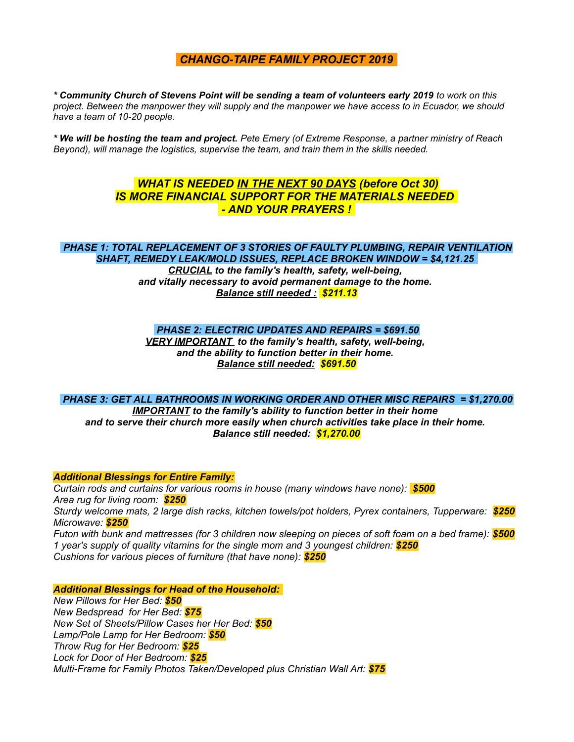## *CHANGO-TAIPE FAMILY PROJECT 2019*

*\* Community Church of Stevens Point will be sending a team of volunteers early 2019 to work on this project. Between the manpower they will supply and the manpower we have access to in Ecuador, we should have a team of 10-20 people.*

*\* We will be hosting the team and project. Pete Emery (of Extreme Response, a partner ministry of Reach Beyond), will manage the logistics, supervise the team, and train them in the skills needed.* 

# *WHAT IS NEEDED IN THE NEXT 90 DAYS (before Oct 30) IS MORE FINANCIAL SUPPORT FOR THE MATERIALS NEEDED - AND YOUR PRAYERS !*

## *PHASE 1: TOTAL REPLACEMENT OF 3 STORIES OF FAULTY PLUMBING, REPAIR VENTILATION SHAFT, REMEDY LEAK/MOLD ISSUES, REPLACE BROKEN WINDOW = \$4,121.25*

*CRUCIAL to the family's health, safety, well-being, and vitally necessary to avoid permanent damage to the home. Balance still needed : \$211.13*

### *PHASE 2: ELECTRIC UPDATES AND REPAIRS = \$691.50*

*VERY IMPORTANT to the family's health, safety, well-being, and the ability to function better in their home. Balance still needed: \$691.50*

#### *PHASE 3: GET ALL BATHROOMS IN WORKING ORDER AND OTHER MISC REPAIRS = \$1,270.00*

*IMPORTANT to the family's ability to function better in their home and to serve their church more easily when church activities take place in their home. Balance still needed: \$1,270.00*

#### *Additional Blessings for Entire Family:*

*Curtain rods and curtains for various rooms in house (many windows have none): \$500 Area rug for living room: \$250 Sturdy welcome mats, 2 large dish racks, kitchen towels/pot holders, Pyrex containers, Tupperware: \$250 Microwave: \$250 Futon with bunk and mattresses (for 3 children now sleeping on pieces of soft foam on a bed frame): \$500 1 year's supply of quality vitamins for the single mom and 3 youngest children: \$250 Cushions for various pieces of furniture (that have none): \$250*

#### *Additional Blessings for Head of the Household:*

*New Pillows for Her Bed: \$50 New Bedspread for Her Bed: \$75 New Set of Sheets/Pillow Cases her Her Bed: \$50 Lamp/Pole Lamp for Her Bedroom: \$50 Throw Rug for Her Bedroom: \$25 Lock for Door of Her Bedroom: \$25 Multi-Frame for Family Photos Taken/Developed plus Christian Wall Art: \$75*